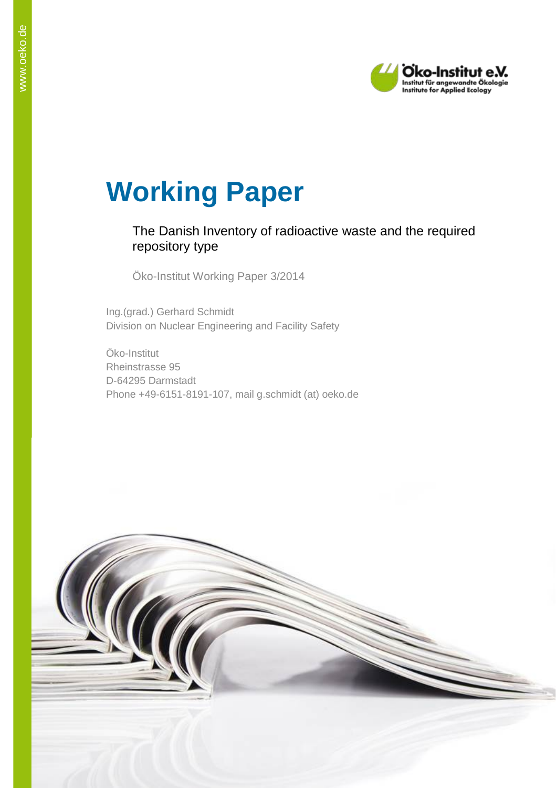

# **Working Paper**

# The Danish Inventory of radioactive waste and the required repository type

Öko-Institut Working Paper 3/2014

Ing.(grad.) Gerhard Schmidt Division on Nuclear Engineering and Facility Safety

Öko-Institut Rheinstrasse 95 D-64295 Darmstadt Phone +49-6151-8191-107, mail g.schmidt (at) oeko.de

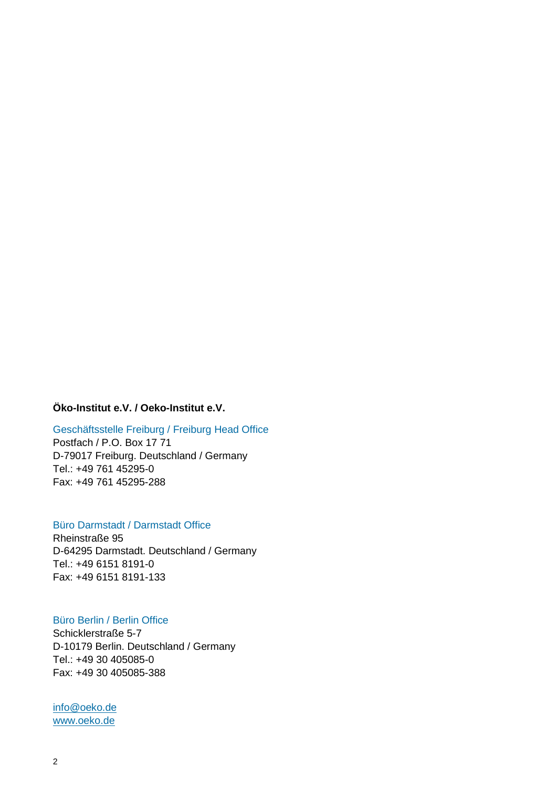# **Öko-Institut e.V. / Oeko-Institut e.V.**

#### Geschäftsstelle Freiburg / Freiburg Head Office

Postfach / P.O. Box 17 71 D-79017 Freiburg. Deutschland / Germany Tel.: +49 761 45295-0 Fax: +49 761 45295-288

#### Büro Darmstadt / Darmstadt Office

Rheinstraße 95 D-64295 Darmstadt. Deutschland / Germany Tel.: +49 6151 8191-0 Fax: +49 6151 8191-133

# Büro Berlin / Berlin Office

Schicklerstraße 5-7 D-10179 Berlin. Deutschland / Germany Tel.: +49 30 405085-0 Fax: +49 30 405085-388

[info@oeko.de](mailto:info@oeko.de) [www.oeko.de](http://www.oeko.de/)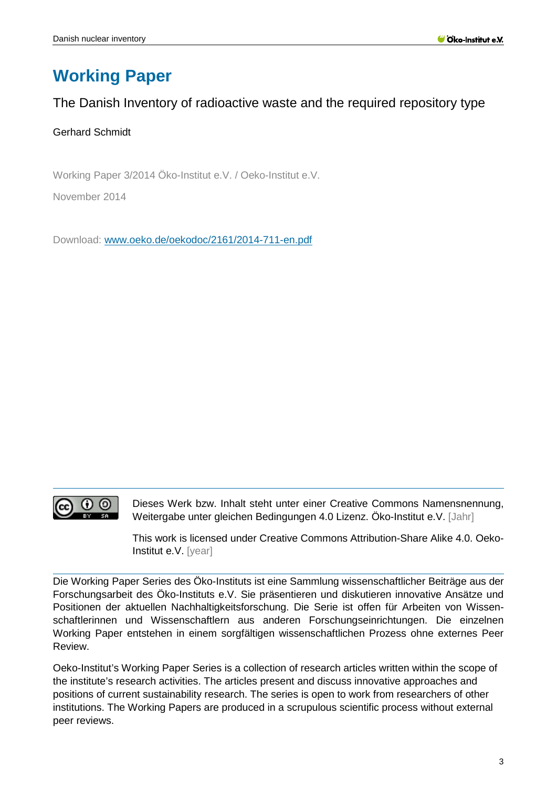# **Working Paper**

# The Danish Inventory of radioactive waste and the required repository type

# Gerhard Schmidt

Working Paper 3/2014 Öko-Institut e.V. / Oeko-Institut e.V.

November 2014

Download: [www.oeko.de/oekodoc/2161/2014-711-en.pdf](http://www.oeko.de/oekodoc/2161/2014-711-en.pdf)



Dieses Werk bzw. Inhalt steht unter einer Creative Commons Namensnennung, Weitergabe unter gleichen Bedingungen 4.0 Lizenz. Öko-Institut e.V. [Jahr]

This work is licensed under Creative Commons Attribution-Share Alike 4.0. Oeko-Institut e.V. [year]

Die Working Paper Series des Öko-Instituts ist eine Sammlung wissenschaftlicher Beiträge aus der Forschungsarbeit des Öko-Instituts e.V. Sie präsentieren und diskutieren innovative Ansätze und Positionen der aktuellen Nachhaltigkeitsforschung. Die Serie ist offen für Arbeiten von Wissenschaftlerinnen und Wissenschaftlern aus anderen Forschungseinrichtungen. Die einzelnen Working Paper entstehen in einem sorgfältigen wissenschaftlichen Prozess ohne externes Peer Review.

Oeko-Institut's Working Paper Series is a collection of research articles written within the scope of the institute's research activities. The articles present and discuss innovative approaches and positions of current sustainability research. The series is open to work from researchers of other institutions. The Working Papers are produced in a scrupulous scientific process without external peer reviews.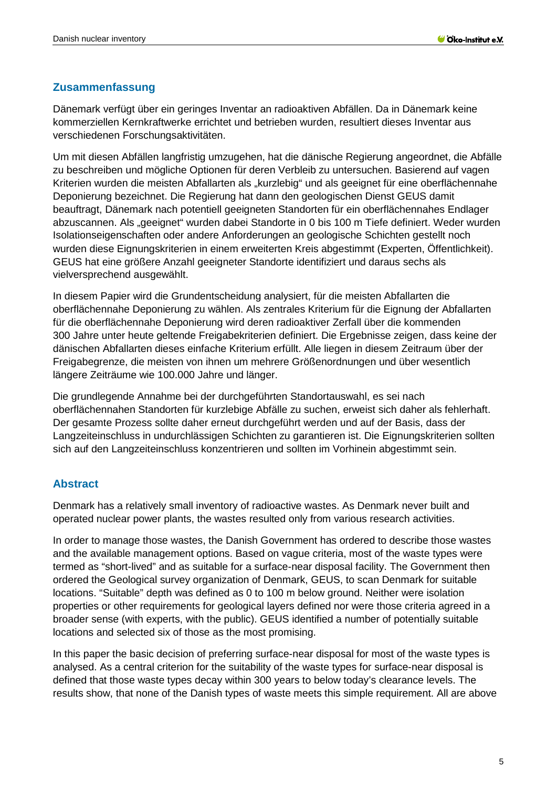### <span id="page-4-0"></span>**Zusammenfassung**

Dänemark verfügt über ein geringes Inventar an radioaktiven Abfällen. Da in Dänemark keine kommerziellen Kernkraftwerke errichtet und betrieben wurden, resultiert dieses Inventar aus verschiedenen Forschungsaktivitäten.

Um mit diesen Abfällen langfristig umzugehen, hat die dänische Regierung angeordnet, die Abfälle zu beschreiben und mögliche Optionen für deren Verbleib zu untersuchen. Basierend auf vagen Kriterien wurden die meisten Abfallarten als "kurzlebig" und als geeignet für eine oberflächennahe Deponierung bezeichnet. Die Regierung hat dann den geologischen Dienst GEUS damit beauftragt, Dänemark nach potentiell geeigneten Standorten für ein oberflächennahes Endlager abzuscannen. Als "geeignet" wurden dabei Standorte in 0 bis 100 m Tiefe definiert. Weder wurden Isolationseigenschaften oder andere Anforderungen an geologische Schichten gestellt noch wurden diese Eignungskriterien in einem erweiterten Kreis abgestimmt (Experten, Öffentlichkeit). GEUS hat eine größere Anzahl geeigneter Standorte identifiziert und daraus sechs als vielversprechend ausgewählt.

In diesem Papier wird die Grundentscheidung analysiert, für die meisten Abfallarten die oberflächennahe Deponierung zu wählen. Als zentrales Kriterium für die Eignung der Abfallarten für die oberflächennahe Deponierung wird deren radioaktiver Zerfall über die kommenden 300 Jahre unter heute geltende Freigabekriterien definiert. Die Ergebnisse zeigen, dass keine der dänischen Abfallarten dieses einfache Kriterium erfüllt. Alle liegen in diesem Zeitraum über der Freigabegrenze, die meisten von ihnen um mehrere Größenordnungen und über wesentlich längere Zeiträume wie 100.000 Jahre und länger.

Die grundlegende Annahme bei der durchgeführten Standortauswahl, es sei nach oberflächennahen Standorten für kurzlebige Abfälle zu suchen, erweist sich daher als fehlerhaft. Der gesamte Prozess sollte daher erneut durchgeführt werden und auf der Basis, dass der Langzeiteinschluss in undurchlässigen Schichten zu garantieren ist. Die Eignungskriterien sollten sich auf den Langzeiteinschluss konzentrieren und sollten im Vorhinein abgestimmt sein.

# <span id="page-4-1"></span>**Abstract**

Denmark has a relatively small inventory of radioactive wastes. As Denmark never built and operated nuclear power plants, the wastes resulted only from various research activities.

In order to manage those wastes, the Danish Government has ordered to describe those wastes and the available management options. Based on vague criteria, most of the waste types were termed as "short-lived" and as suitable for a surface-near disposal facility. The Government then ordered the Geological survey organization of Denmark, GEUS, to scan Denmark for suitable locations. "Suitable" depth was defined as 0 to 100 m below ground. Neither were isolation properties or other requirements for geological layers defined nor were those criteria agreed in a broader sense (with experts, with the public). GEUS identified a number of potentially suitable locations and selected six of those as the most promising.

In this paper the basic decision of preferring surface-near disposal for most of the waste types is analysed. As a central criterion for the suitability of the waste types for surface-near disposal is defined that those waste types decay within 300 years to below today's clearance levels. The results show, that none of the Danish types of waste meets this simple requirement. All are above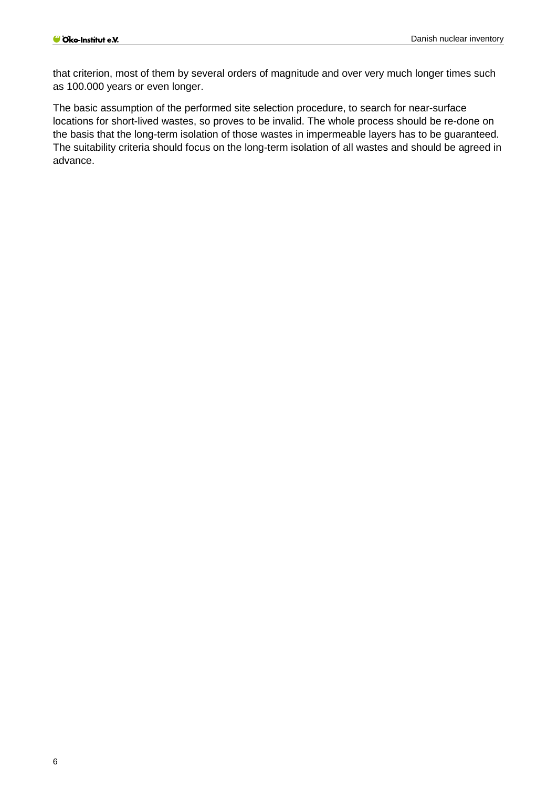that criterion, most of them by several orders of magnitude and over very much longer times such as 100.000 years or even longer.

The basic assumption of the performed site selection procedure, to search for near-surface locations for short-lived wastes, so proves to be invalid. The whole process should be re-done on the basis that the long-term isolation of those wastes in impermeable layers has to be guaranteed. The suitability criteria should focus on the long-term isolation of all wastes and should be agreed in advance.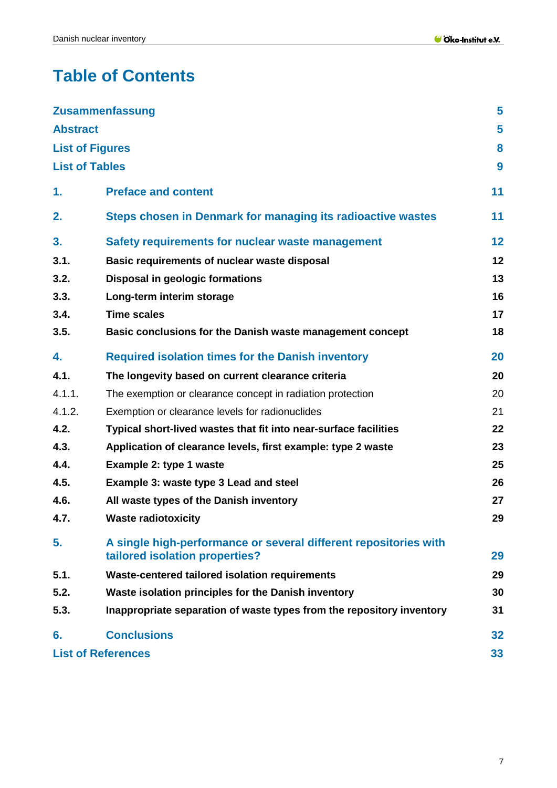# **Table of Contents**

|                        | <b>Zusammenfassung</b>                                                                             | 5  |
|------------------------|----------------------------------------------------------------------------------------------------|----|
| <b>Abstract</b>        |                                                                                                    | 5  |
| <b>List of Figures</b> |                                                                                                    | 8  |
| <b>List of Tables</b>  |                                                                                                    | 9  |
| 1.                     | <b>Preface and content</b>                                                                         | 11 |
| 2.                     | Steps chosen in Denmark for managing its radioactive wastes                                        | 11 |
| 3.                     | Safety requirements for nuclear waste management                                                   | 12 |
| 3.1.                   | Basic requirements of nuclear waste disposal                                                       | 12 |
| 3.2.                   | <b>Disposal in geologic formations</b>                                                             | 13 |
| 3.3.                   | Long-term interim storage                                                                          | 16 |
| 3.4.                   | <b>Time scales</b>                                                                                 | 17 |
| 3.5.                   | Basic conclusions for the Danish waste management concept                                          | 18 |
| 4.                     | <b>Required isolation times for the Danish inventory</b>                                           | 20 |
| 4.1.                   | The longevity based on current clearance criteria                                                  | 20 |
| 4.1.1.                 | The exemption or clearance concept in radiation protection                                         | 20 |
| 4.1.2.                 | Exemption or clearance levels for radionuclides                                                    | 21 |
| 4.2.                   | Typical short-lived wastes that fit into near-surface facilities                                   | 22 |
| 4.3.                   | Application of clearance levels, first example: type 2 waste                                       | 23 |
| 4.4.                   | Example 2: type 1 waste                                                                            | 25 |
| 4.5.                   | Example 3: waste type 3 Lead and steel                                                             | 26 |
| 4.6.                   | All waste types of the Danish inventory                                                            | 27 |
| 4.7.                   | <b>Waste radiotoxicity</b>                                                                         | 29 |
| 5.                     | A single high-performance or several different repositories with<br>tailored isolation properties? | 29 |
| 5.1.                   | Waste-centered tailored isolation requirements                                                     | 29 |
| 5.2.                   | Waste isolation principles for the Danish inventory                                                | 30 |
| 5.3.                   | Inappropriate separation of waste types from the repository inventory                              | 31 |
| 6.                     | <b>Conclusions</b>                                                                                 | 32 |
|                        | <b>List of References</b>                                                                          | 33 |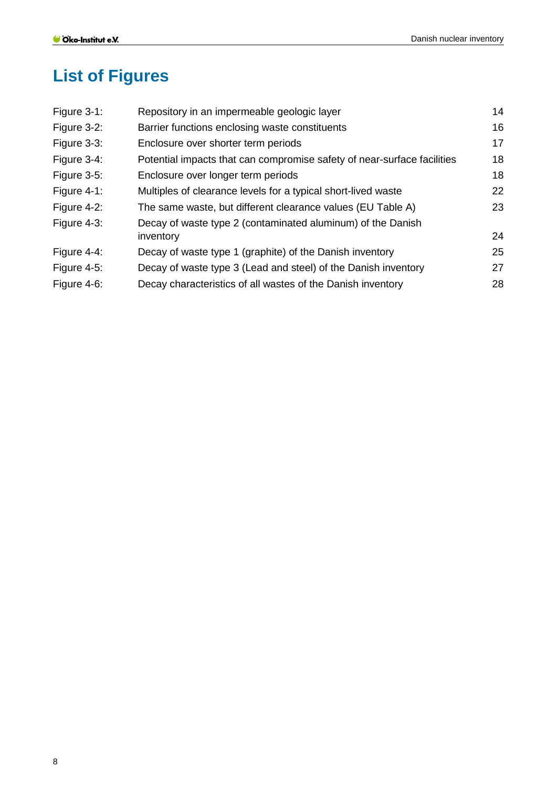# <span id="page-7-0"></span>**List of Figures**

| Figure $3-1$ : | Repository in an impermeable geologic layer                             | 14 |
|----------------|-------------------------------------------------------------------------|----|
| Figure 3-2:    | Barrier functions enclosing waste constituents                          | 16 |
| Figure 3-3:    | Enclosure over shorter term periods                                     | 17 |
| Figure 3-4:    | Potential impacts that can compromise safety of near-surface facilities | 18 |
| Figure 3-5:    | Enclosure over longer term periods                                      | 18 |
| Figure $4-1$ : | Multiples of clearance levels for a typical short-lived waste           | 22 |
| Figure 4-2:    | The same waste, but different clearance values (EU Table A)             | 23 |
| Figure 4-3:    | Decay of waste type 2 (contaminated aluminum) of the Danish             |    |
|                | inventory                                                               | 24 |
| Figure 4-4:    | Decay of waste type 1 (graphite) of the Danish inventory                | 25 |
| Figure 4-5:    | Decay of waste type 3 (Lead and steel) of the Danish inventory          | 27 |
| Figure 4-6:    | Decay characteristics of all wastes of the Danish inventory             | 28 |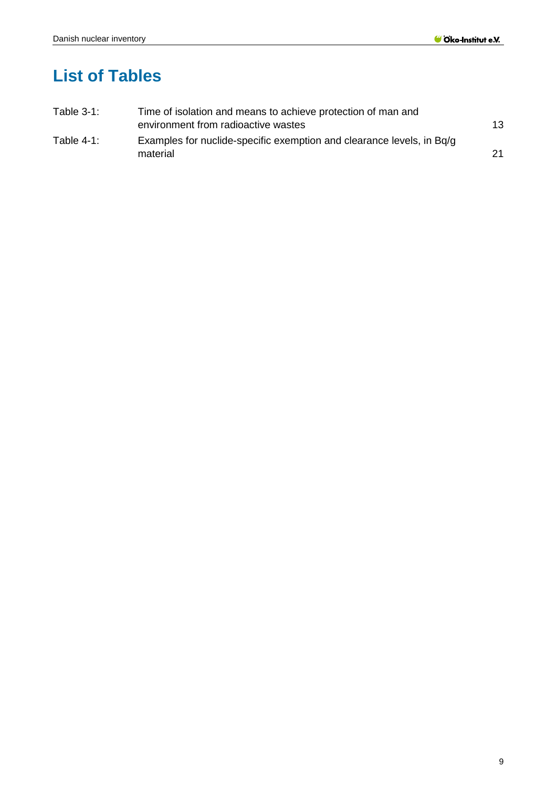# <span id="page-8-0"></span>**List of Tables**

| Table $3-1$ : | Time of isolation and means to achieve protection of man and          |    |
|---------------|-----------------------------------------------------------------------|----|
|               | environment from radioactive wastes                                   | 13 |
| Table $4-1$ : | Examples for nuclide-specific exemption and clearance levels, in Bq/q |    |
|               | material                                                              | 21 |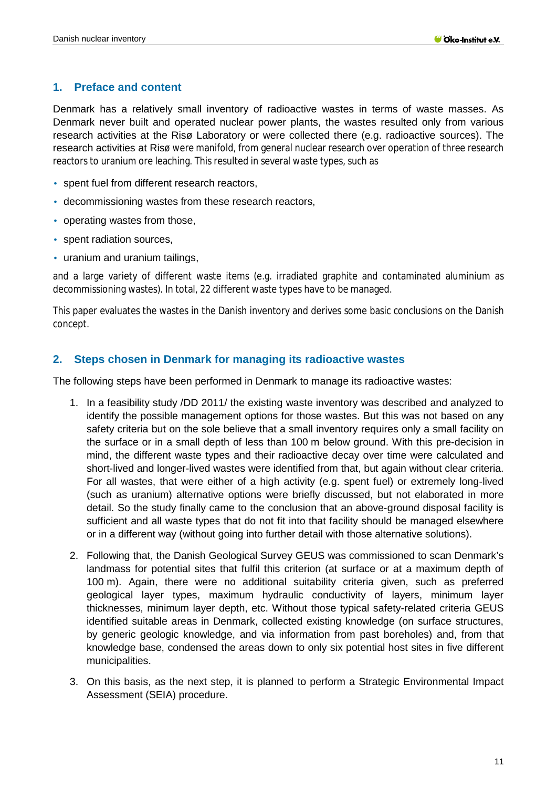#### <span id="page-10-0"></span>**1. Preface and content**

Denmark has a relatively small inventory of radioactive wastes in terms of waste masses. As Denmark never built and operated nuclear power plants, the wastes resulted only from various research activities at the Risø Laboratory or were collected there (e.g. radioactive sources). The research activities at Risø were manifold, from general nuclear research over operation of three research reactors to uranium ore leaching. This resulted in several waste types, such as

- spent fuel from different research reactors,
- decommissioning wastes from these research reactors,
- operating wastes from those,
- spent radiation sources,
- uranium and uranium tailings,

and a large variety of different waste items (e.g. irradiated graphite and contaminated aluminium as decommissioning wastes). In total, 22 different waste types have to be managed.

This paper evaluates the wastes in the Danish inventory and derives some basic conclusions on the Danish concept.

### <span id="page-10-1"></span>**2. Steps chosen in Denmark for managing its radioactive wastes**

The following steps have been performed in Denmark to manage its radioactive wastes:

- 1. In a feasibility study /DD 2011/ the existing waste inventory was described and analyzed to identify the possible management options for those wastes. But this was not based on any safety criteria but on the sole believe that a small inventory requires only a small facility on the surface or in a small depth of less than 100 m below ground. With this pre-decision in mind, the different waste types and their radioactive decay over time were calculated and short-lived and longer-lived wastes were identified from that, but again without clear criteria. For all wastes, that were either of a high activity (e.g. spent fuel) or extremely long-lived (such as uranium) alternative options were briefly discussed, but not elaborated in more detail. So the study finally came to the conclusion that an above-ground disposal facility is sufficient and all waste types that do not fit into that facility should be managed elsewhere or in a different way (without going into further detail with those alternative solutions).
- 2. Following that, the Danish Geological Survey GEUS was commissioned to scan Denmark's landmass for potential sites that fulfil this criterion (at surface or at a maximum depth of 100 m). Again, there were no additional suitability criteria given, such as preferred geological layer types, maximum hydraulic conductivity of layers, minimum layer thicknesses, minimum layer depth, etc. Without those typical safety-related criteria GEUS identified suitable areas in Denmark, collected existing knowledge (on surface structures, by generic geologic knowledge, and via information from past boreholes) and, from that knowledge base, condensed the areas down to only six potential host sites in five different municipalities.
- 3. On this basis, as the next step, it is planned to perform a Strategic Environmental Impact Assessment (SEIA) procedure.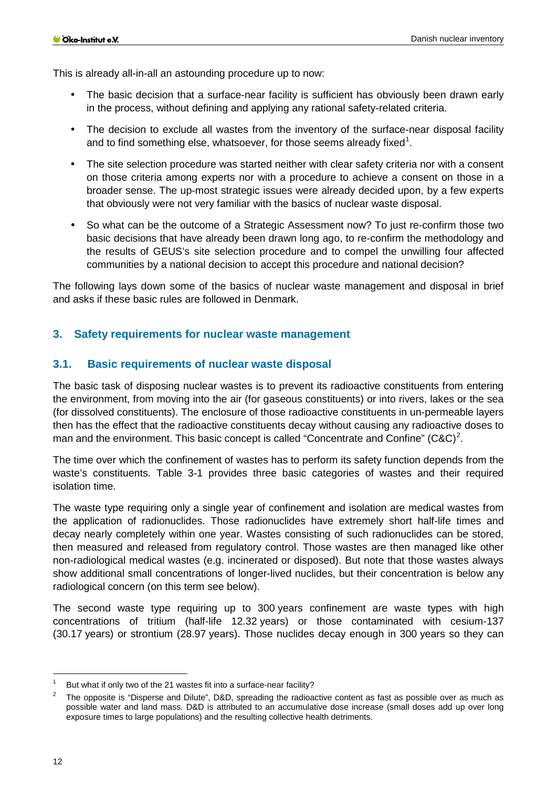This is already all-in-all an astounding procedure up to now:

- The basic decision that a surface-near facility is sufficient has obviously been drawn early in the process, without defining and applying any rational safety-related criteria.
- The decision to exclude all wastes from the inventory of the surface-near disposal facility and to find something else, whatsoever, for those seems already fixed<sup>[1](#page-11-2)</sup>.
- The site selection procedure was started neither with clear safety criteria nor with a consent on those criteria among experts nor with a procedure to achieve a consent on those in a broader sense. The up-most strategic issues were already decided upon, by a few experts that obviously were not very familiar with the basics of nuclear waste disposal.
- So what can be the outcome of a Strategic Assessment now? To just re-confirm those two basic decisions that have already been drawn long ago, to re-confirm the methodology and the results of GEUS's site selection procedure and to compel the unwilling four affected communities by a national decision to accept this procedure and national decision?

The following lays down some of the basics of nuclear waste management and disposal in brief and asks if these basic rules are followed in Denmark.

#### <span id="page-11-0"></span>**3. Safety requirements for nuclear waste management**

#### <span id="page-11-1"></span>**3.1. Basic requirements of nuclear waste disposal**

The basic task of disposing nuclear wastes is to prevent its radioactive constituents from entering the environment, from moving into the air (for gaseous constituents) or into rivers, lakes or the sea (for dissolved constituents). The enclosure of those radioactive constituents in un-permeable layers then has the effect that the radioactive constituents decay without causing any radioactive doses to man and the environment. This basic concept is called "Concentrate and Confine" (C&C)<sup>[2](#page-11-3)</sup>.

The time over which the confinement of wastes has to perform its safety function depends from the waste's constituents. [Table](#page-12-1) 3-1 provides three basic categories of wastes and their required isolation time.

The waste type requiring only a single year of confinement and isolation are medical wastes from the application of radionuclides. Those radionuclides have extremely short half-life times and decay nearly completely within one year. Wastes consisting of such radionuclides can be stored, then measured and released from regulatory control. Those wastes are then managed like other non-radiological medical wastes (e.g. incinerated or disposed). But note that those wastes always show additional small concentrations of longer-lived nuclides, but their concentration is below any radiological concern (on this term see below).

The second waste type requiring up to 300 years confinement are waste types with high concentrations of tritium (half-life 12.32 years) or those contaminated with cesium-137 (30.17 years) or strontium (28.97 years). Those nuclides decay enough in 300 years so they can

-

<span id="page-11-2"></span>But what if only two of the 21 wastes fit into a surface-near facility?

<span id="page-11-3"></span><sup>2</sup> The opposite is "Disperse and Dilute", D&D, spreading the radioactive content as fast as possible over as much as possible water and land mass. D&D is attributed to an accumulative dose increase (small doses add up over long exposure times to large populations) and the resulting collective health detriments.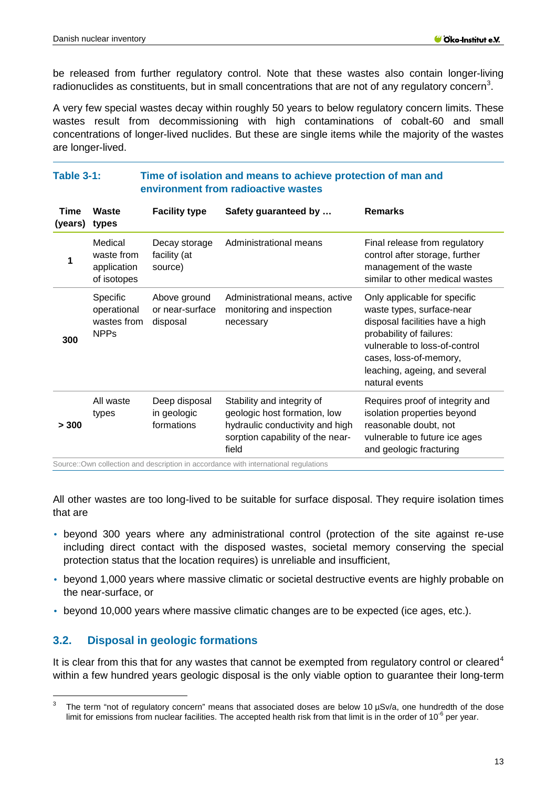be released from further regulatory control. Note that these wastes also contain longer-living radionuclides as constituents, but in small concentrations that are not of any regulatory concern<sup>[3](#page-12-2)</sup>.

A very few special wastes decay within roughly 50 years to below regulatory concern limits. These wastes result from decommissioning with high contaminations of cobalt-60 and small concentrations of longer-lived nuclides. But these are single items while the majority of the wastes are longer-lived.

<span id="page-12-1"></span>**Table 3-1: Time of isolation and means to achieve protection of man and** 

|                 |                                                       |                                             | environment from radioactive wastes                                                                                                        |                                                                                                                                                                                                                                        |
|-----------------|-------------------------------------------------------|---------------------------------------------|--------------------------------------------------------------------------------------------------------------------------------------------|----------------------------------------------------------------------------------------------------------------------------------------------------------------------------------------------------------------------------------------|
| Time<br>(years) | Waste<br>types                                        | <b>Facility type</b>                        | Safety guaranteed by                                                                                                                       | <b>Remarks</b>                                                                                                                                                                                                                         |
| 1               | Medical<br>waste from<br>application<br>of isotopes   | Decay storage<br>facility (at<br>source)    | Administrational means                                                                                                                     | Final release from regulatory<br>control after storage, further<br>management of the waste<br>similar to other medical wastes                                                                                                          |
| 300             | Specific<br>operational<br>wastes from<br><b>NPPs</b> | Above ground<br>or near-surface<br>disposal | Administrational means, active<br>monitoring and inspection<br>necessary                                                                   | Only applicable for specific<br>waste types, surface-near<br>disposal facilities have a high<br>probability of failures:<br>vulnerable to loss-of-control<br>cases, loss-of-memory,<br>leaching, ageing, and several<br>natural events |
| > 300           | All waste<br>types                                    | Deep disposal<br>in geologic<br>formations  | Stability and integrity of<br>geologic host formation, low<br>hydraulic conductivity and high<br>sorption capability of the near-<br>field | Requires proof of integrity and<br>isolation properties beyond<br>reasonable doubt, not<br>vulnerable to future ice ages<br>and geologic fracturing                                                                                    |

All other wastes are too long-lived to be suitable for surface disposal. They require isolation times that are

- beyond 300 years where any administrational control (protection of the site against re-use including direct contact with the disposed wastes, societal memory conserving the special protection status that the location requires) is unreliable and insufficient,
- beyond 1,000 years where massive climatic or societal destructive events are highly probable on the near-surface, or
- beyond 10,000 years where massive climatic changes are to be expected (ice ages, etc.).

# <span id="page-12-0"></span>**3.2. Disposal in geologic formations**

-

It is clear from this that for any wastes that cannot be exempted from regulatory control or cleared<sup>[4](#page-12-3)</sup> within a few hundred years geologic disposal is the only viable option to guarantee their long-term

<span id="page-12-3"></span><span id="page-12-2"></span>The term "not of regulatory concern" means that associated doses are below 10 µSv/a, one hundredth of the dose limit for emissions from nuclear facilities. The accepted health risk from that limit is in the order of  $10^{-6}$  per year.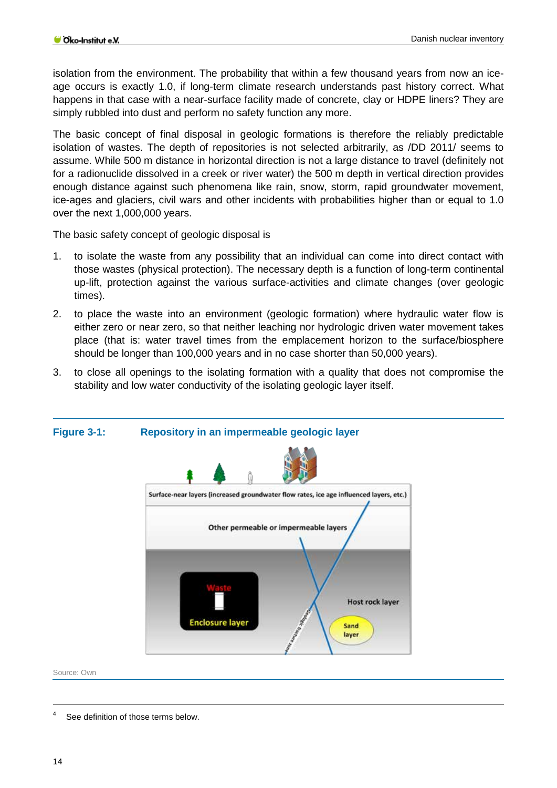isolation from the environment. The probability that within a few thousand years from now an iceage occurs is exactly 1.0, if long-term climate research understands past history correct. What happens in that case with a near-surface facility made of concrete, clay or HDPE liners? They are simply rubbled into dust and perform no safety function any more.

The basic concept of final disposal in geologic formations is therefore the reliably predictable isolation of wastes. The depth of repositories is not selected arbitrarily, as /DD 2011/ seems to assume. While 500 m distance in horizontal direction is not a large distance to travel (definitely not for a radionuclide dissolved in a creek or river water) the 500 m depth in vertical direction provides enough distance against such phenomena like rain, snow, storm, rapid groundwater movement, ice-ages and glaciers, civil wars and other incidents with probabilities higher than or equal to 1.0 over the next 1,000,000 years.

The basic safety concept of geologic disposal is

- 1. to isolate the waste from any possibility that an individual can come into direct contact with those wastes (physical protection). The necessary depth is a function of long-term continental up-lift, protection against the various surface-activities and climate changes (over geologic times).
- 2. to place the waste into an environment (geologic formation) where hydraulic water flow is either zero or near zero, so that neither leaching nor hydrologic driven water movement takes place (that is: water travel times from the emplacement horizon to the surface/biosphere should be longer than 100,000 years and in no case shorter than 50,000 years).
- 3. to close all openings to the isolating formation with a quality that does not compromise the stability and low water conductivity of the isolating geologic layer itself.



# <span id="page-13-0"></span>**Figure 3-1: Repository in an impermeable geologic layer**

Source: Own

-

<sup>4</sup> See definition of those terms below.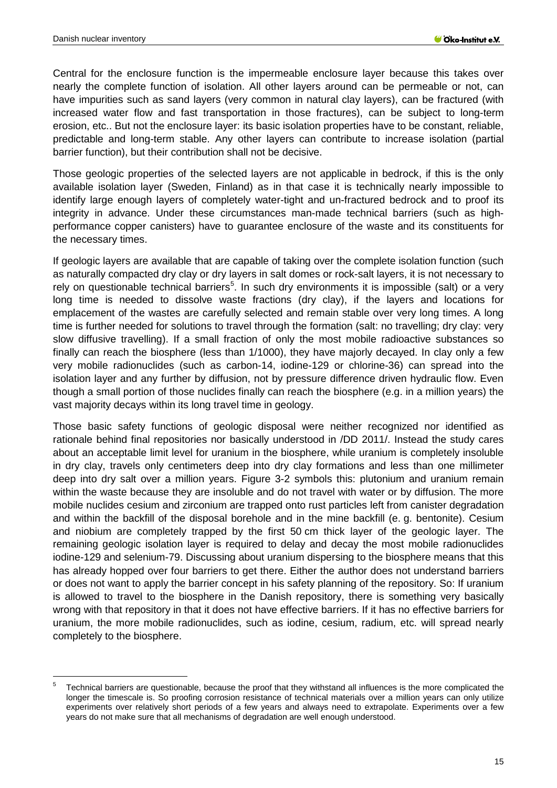-

Central for the enclosure function is the impermeable enclosure layer because this takes over nearly the complete function of isolation. All other layers around can be permeable or not, can have impurities such as sand layers (very common in natural clay layers), can be fractured (with increased water flow and fast transportation in those fractures), can be subject to long-term erosion, etc.. But not the enclosure layer: its basic isolation properties have to be constant, reliable, predictable and long-term stable. Any other layers can contribute to increase isolation (partial barrier function), but their contribution shall not be decisive.

Those geologic properties of the selected layers are not applicable in bedrock, if this is the only available isolation layer (Sweden, Finland) as in that case it is technically nearly impossible to identify large enough layers of completely water-tight and un-fractured bedrock and to proof its integrity in advance. Under these circumstances man-made technical barriers (such as highperformance copper canisters) have to guarantee enclosure of the waste and its constituents for the necessary times.

If geologic layers are available that are capable of taking over the complete isolation function (such as naturally compacted dry clay or dry layers in salt domes or rock-salt layers, it is not necessary to rely on questionable technical barriers<sup>[5](#page-14-0)</sup>. In such dry environments it is impossible (salt) or a very long time is needed to dissolve waste fractions (dry clay), if the layers and locations for emplacement of the wastes are carefully selected and remain stable over very long times. A long time is further needed for solutions to travel through the formation (salt: no travelling; dry clay: very slow diffusive travelling). If a small fraction of only the most mobile radioactive substances so finally can reach the biosphere (less than 1/1000), they have majorly decayed. In clay only a few very mobile radionuclides (such as carbon-14, iodine-129 or chlorine-36) can spread into the isolation layer and any further by diffusion, not by pressure difference driven hydraulic flow. Even though a small portion of those nuclides finally can reach the biosphere (e.g. in a million years) the vast majority decays within its long travel time in geology.

Those basic safety functions of geologic disposal were neither recognized nor identified as rationale behind final repositories nor basically understood in /DD 2011/. Instead the study cares about an acceptable limit level for uranium in the biosphere, while uranium is completely insoluble in dry clay, travels only centimeters deep into dry clay formations and less than one millimeter deep into dry salt over a million years. [Figure 3-2](#page-15-1) symbols this: plutonium and uranium remain within the waste because they are insoluble and do not travel with water or by diffusion. The more mobile nuclides cesium and zirconium are trapped onto rust particles left from canister degradation and within the backfill of the disposal borehole and in the mine backfill (e. g. bentonite). Cesium and niobium are completely trapped by the first 50 cm thick layer of the geologic layer. The remaining geologic isolation layer is required to delay and decay the most mobile radionuclides iodine-129 and selenium-79. Discussing about uranium dispersing to the biosphere means that this has already hopped over four barriers to get there. Either the author does not understand barriers or does not want to apply the barrier concept in his safety planning of the repository. So: If uranium is allowed to travel to the biosphere in the Danish repository, there is something very basically wrong with that repository in that it does not have effective barriers. If it has no effective barriers for uranium, the more mobile radionuclides, such as iodine, cesium, radium, etc. will spread nearly completely to the biosphere.

<span id="page-14-0"></span> $5$  Technical barriers are questionable, because the proof that they withstand all influences is the more complicated the longer the timescale is. So proofing corrosion resistance of technical materials over a million years can only utilize experiments over relatively short periods of a few years and always need to extrapolate. Experiments over a few years do not make sure that all mechanisms of degradation are well enough understood.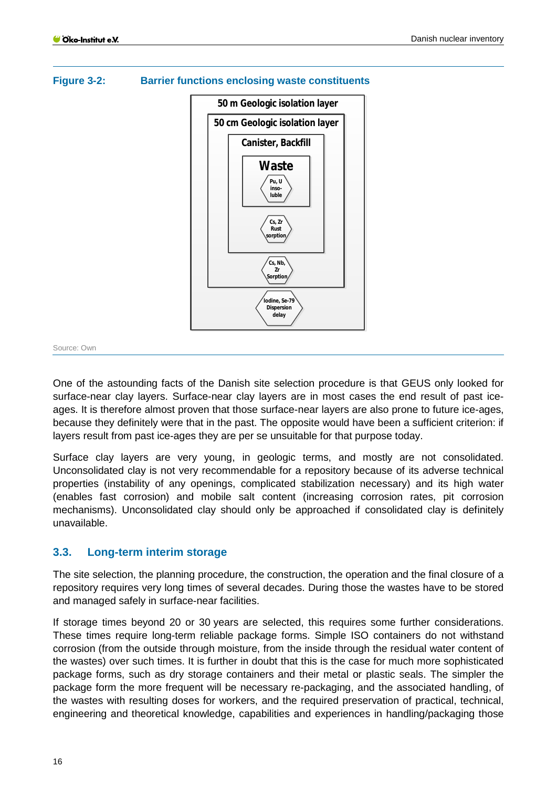

### <span id="page-15-1"></span>**Figure 3-2: Barrier functions enclosing waste constituents**

#### Source: Own

One of the astounding facts of the Danish site selection procedure is that GEUS only looked for surface-near clay layers. Surface-near clay layers are in most cases the end result of past iceages. It is therefore almost proven that those surface-near layers are also prone to future ice-ages, because they definitely were that in the past. The opposite would have been a sufficient criterion: if layers result from past ice-ages they are per se unsuitable for that purpose today.

Surface clay layers are very young, in geologic terms, and mostly are not consolidated. Unconsolidated clay is not very recommendable for a repository because of its adverse technical properties (instability of any openings, complicated stabilization necessary) and its high water (enables fast corrosion) and mobile salt content (increasing corrosion rates, pit corrosion mechanisms). Unconsolidated clay should only be approached if consolidated clay is definitely unavailable.

#### <span id="page-15-0"></span>**3.3. Long-term interim storage**

The site selection, the planning procedure, the construction, the operation and the final closure of a repository requires very long times of several decades. During those the wastes have to be stored and managed safely in surface-near facilities.

If storage times beyond 20 or 30 years are selected, this requires some further considerations. These times require long-term reliable package forms. Simple ISO containers do not withstand corrosion (from the outside through moisture, from the inside through the residual water content of the wastes) over such times. It is further in doubt that this is the case for much more sophisticated package forms, such as dry storage containers and their metal or plastic seals. The simpler the package form the more frequent will be necessary re-packaging, and the associated handling, of the wastes with resulting doses for workers, and the required preservation of practical, technical, engineering and theoretical knowledge, capabilities and experiences in handling/packaging those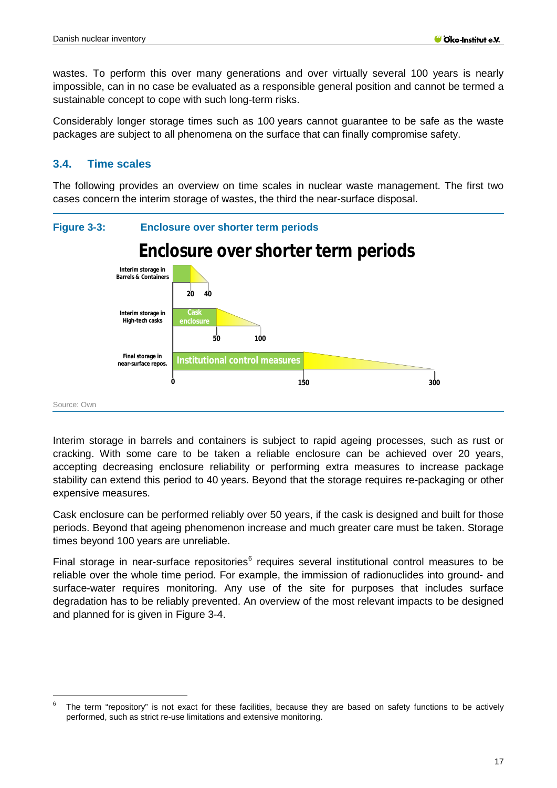wastes. To perform this over many generations and over virtually several 100 years is nearly impossible, can in no case be evaluated as a responsible general position and cannot be termed a sustainable concept to cope with such long-term risks.

Considerably longer storage times such as 100 years cannot guarantee to be safe as the waste packages are subject to all phenomena on the surface that can finally compromise safety.

#### <span id="page-16-0"></span>**3.4. Time scales**

-

The following provides an overview on time scales in nuclear waste management. The first two cases concern the interim storage of wastes, the third the near-surface disposal.

<span id="page-16-1"></span>

Interim storage in barrels and containers is subject to rapid ageing processes, such as rust or cracking. With some care to be taken a reliable enclosure can be achieved over 20 years, accepting decreasing enclosure reliability or performing extra measures to increase package stability can extend this period to 40 years. Beyond that the storage requires re-packaging or other expensive measures.

Cask enclosure can be performed reliably over 50 years, if the cask is designed and built for those periods. Beyond that ageing phenomenon increase and much greater care must be taken. Storage times beyond 100 years are unreliable.

Final storage in near-surface repositories $<sup>6</sup>$  $<sup>6</sup>$  $<sup>6</sup>$  requires several institutional control measures to be</sup> reliable over the whole time period. For example, the immission of radionuclides into ground- and surface-water requires monitoring. Any use of the site for purposes that includes surface degradation has to be reliably prevented. An overview of the most relevant impacts to be designed and planned for is given in [Figure 3-4.](#page-17-1)

<span id="page-16-2"></span>The term "repository" is not exact for these facilities, because they are based on safety functions to be actively performed, such as strict re-use limitations and extensive monitoring.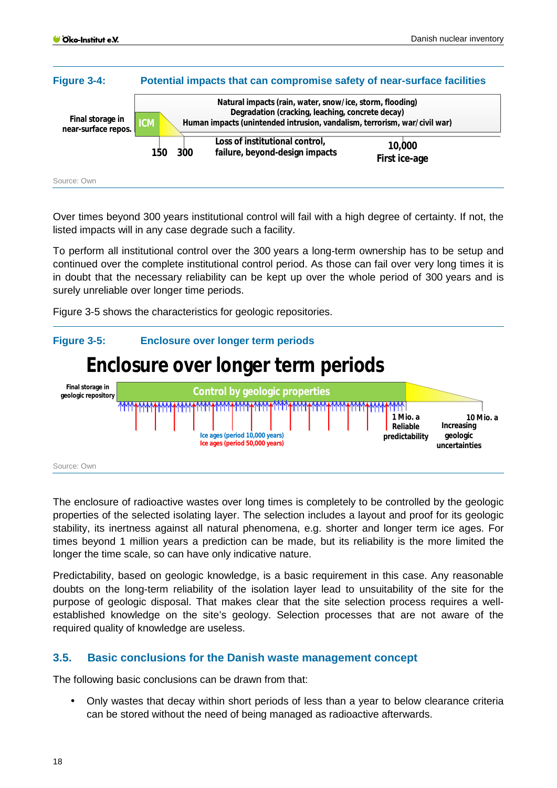<span id="page-17-1"></span>

Over times beyond 300 years institutional control will fail with a high degree of certainty. If not, the listed impacts will in any case degrade such a facility.

To perform all institutional control over the 300 years a long-term ownership has to be setup and continued over the complete institutional control period. As those can fail over very long times it is in doubt that the necessary reliability can be kept up over the whole period of 300 years and is surely unreliable over longer time periods.

[Figure 3-5](#page-17-2) shows the characteristics for geologic repositories.

#### <span id="page-17-2"></span>**Figure 3-5: Enclosure over longer term periods Enclosure over longer term periods Final storage in Control by geologic properties geologic repository AMM 1 Mio. a 10 Mio. a Reliable Increasing Ice ages (period 10,000 years) predictability geologic Ice ages (period 50,000 years) uncertainties** Source: Own

The enclosure of radioactive wastes over long times is completely to be controlled by the geologic properties of the selected isolating layer. The selection includes a layout and proof for its geologic stability, its inertness against all natural phenomena, e.g. shorter and longer term ice ages. For times beyond 1 million years a prediction can be made, but its reliability is the more limited the longer the time scale, so can have only indicative nature.

Predictability, based on geologic knowledge, is a basic requirement in this case. Any reasonable doubts on the long-term reliability of the isolation layer lead to unsuitability of the site for the purpose of geologic disposal. That makes clear that the site selection process requires a wellestablished knowledge on the site's geology. Selection processes that are not aware of the required quality of knowledge are useless.

#### <span id="page-17-0"></span>**3.5. Basic conclusions for the Danish waste management concept**

The following basic conclusions can be drawn from that:

Only wastes that decay within short periods of less than a year to below clearance criteria can be stored without the need of being managed as radioactive afterwards.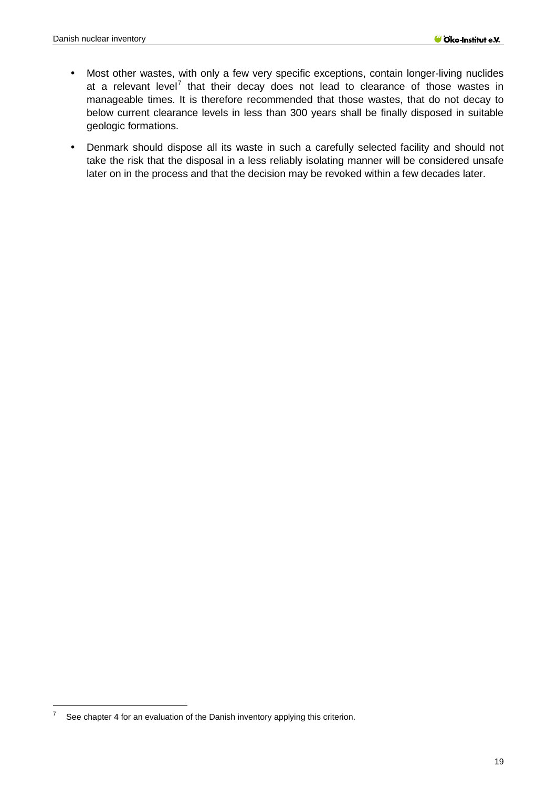- Most other wastes, with only a few very specific exceptions, contain longer-living nuclides  $\blacksquare$ at a relevant level<sup>[7](#page-18-0)</sup> that their decay does not lead to clearance of those wastes in manageable times. It is therefore recommended that those wastes, that do not decay to below current clearance levels in less than 300 years shall be finally disposed in suitable geologic formations.
- Denmark should dispose all its waste in such a carefully selected facility and should not ÷, take the risk that the disposal in a less reliably isolating manner will be considered unsafe later on in the process and that the decision may be revoked within a few decades later.

-

<span id="page-18-0"></span> $7$  See chapter 4 for an evaluation of the Danish inventory applying this criterion.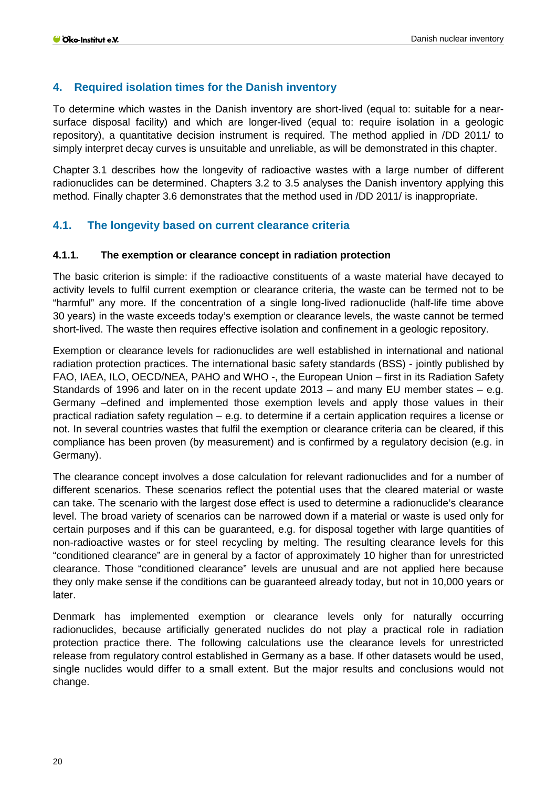### <span id="page-19-0"></span>**4. Required isolation times for the Danish inventory**

To determine which wastes in the Danish inventory are short-lived (equal to: suitable for a nearsurface disposal facility) and which are longer-lived (equal to: require isolation in a geologic repository), a quantitative decision instrument is required. The method applied in /DD 2011/ to simply interpret decay curves is unsuitable and unreliable, as will be demonstrated in this chapter.

Chapter 3.1 describes how the longevity of radioactive wastes with a large number of different radionuclides can be determined. Chapters 3.2 to 3.5 analyses the Danish inventory applying this method. Finally chapter 3.6 demonstrates that the method used in /DD 2011/ is inappropriate.

# <span id="page-19-1"></span>**4.1. The longevity based on current clearance criteria**

#### <span id="page-19-2"></span>**4.1.1. The exemption or clearance concept in radiation protection**

The basic criterion is simple: if the radioactive constituents of a waste material have decayed to activity levels to fulfil current exemption or clearance criteria, the waste can be termed not to be "harmful" any more. If the concentration of a single long-lived radionuclide (half-life time above 30 years) in the waste exceeds today's exemption or clearance levels, the waste cannot be termed short-lived. The waste then requires effective isolation and confinement in a geologic repository.

Exemption or clearance levels for radionuclides are well established in international and national radiation protection practices. The international basic safety standards (BSS) - jointly published by FAO, IAEA, ILO, OECD/NEA, PAHO and WHO -, the European Union – first in its Radiation Safety Standards of 1996 and later on in the recent update 2013 – and many EU member states – e.g. Germany –defined and implemented those exemption levels and apply those values in their practical radiation safety regulation – e.g. to determine if a certain application requires a license or not. In several countries wastes that fulfil the exemption or clearance criteria can be cleared, if this compliance has been proven (by measurement) and is confirmed by a regulatory decision (e.g. in Germany).

The clearance concept involves a dose calculation for relevant radionuclides and for a number of different scenarios. These scenarios reflect the potential uses that the cleared material or waste can take. The scenario with the largest dose effect is used to determine a radionuclide's clearance level. The broad variety of scenarios can be narrowed down if a material or waste is used only for certain purposes and if this can be guaranteed, e.g. for disposal together with large quantities of non-radioactive wastes or for steel recycling by melting. The resulting clearance levels for this "conditioned clearance" are in general by a factor of approximately 10 higher than for unrestricted clearance. Those "conditioned clearance" levels are unusual and are not applied here because they only make sense if the conditions can be guaranteed already today, but not in 10,000 years or later.

Denmark has implemented exemption or clearance levels only for naturally occurring radionuclides, because artificially generated nuclides do not play a practical role in radiation protection practice there. The following calculations use the clearance levels for unrestricted release from regulatory control established in Germany as a base. If other datasets would be used, single nuclides would differ to a small extent. But the major results and conclusions would not change.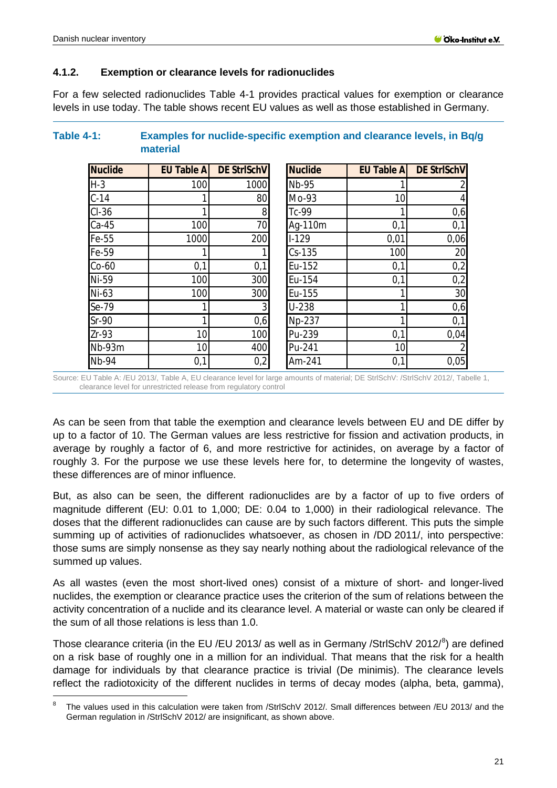-

#### <span id="page-20-0"></span>**4.1.2. Exemption or clearance levels for radionuclides**

For a few selected radionuclides [Table 4-1](#page-20-1) provides practical values for exemption or clearance levels in use today. The table shows recent EU values as well as those established in Germany.

| <b>Nuclide</b> | <b>EU Table A</b> | <b>DE StrlSchV</b> | <b>Nuclide</b> | <b>EU Table A</b> | <b>DE StrISchV</b> |
|----------------|-------------------|--------------------|----------------|-------------------|--------------------|
| $H-3$          | 100               | 1000               | <b>Nb-95</b>   |                   |                    |
| $C-14$         |                   | 80                 | Mo-93          | 10                |                    |
| $CI-36$        |                   | 8                  | Tc-99          |                   |                    |
| $Ca-45$        | 100               | 70                 | Ag-110m        | 0,1               |                    |
| Fe-55          | 1000              | 200                | $1-129$        | 0,01              | 0,06               |
| Fe-59          |                   |                    | $Cs-135$       | 100               |                    |
| $Co-60$        | 0,1               | 0,1                | Eu-152         | 0,1               |                    |
| Ni-59          | 100               | 300                | Eu-154         | 0,1               |                    |
| Ni-63          | 100               | 300                | Eu-155         |                   |                    |
| Se-79          |                   | 3                  | U-238          |                   |                    |
| $Sr-90$        |                   | 0,6                | Np-237         |                   |                    |
| $Zr-93$        | 10                | 100                | Pu-239         | 0,1               | 0,04               |
| Nb-93m         | 10                | 400                | Pu-241         | 10                |                    |
| <b>Nb-94</b>   | 0,1               | 0,2                | Am-241         | 0,1               | 0,05               |

# <span id="page-20-1"></span>**Table 4-1: Examples for nuclide-specific exemption and clearance levels, in Bq/g material**

Source: EU Table A: /EU 2013/, Table A, EU clearance level for large amounts of material; DE StrlSchV: /StrlSchV 2012/, Tabelle 1, clearance level for unrestricted release from regulatory control

As can be seen from that table the exemption and clearance levels between EU and DE differ by up to a factor of 10. The German values are less restrictive for fission and activation products, in average by roughly a factor of 6, and more restrictive for actinides, on average by a factor of roughly 3. For the purpose we use these levels here for, to determine the longevity of wastes, these differences are of minor influence.

But, as also can be seen, the different radionuclides are by a factor of up to five orders of magnitude different (EU: 0.01 to 1,000; DE: 0.04 to 1,000) in their radiological relevance. The doses that the different radionuclides can cause are by such factors different. This puts the simple summing up of activities of radionuclides whatsoever, as chosen in /DD 2011/, into perspective: those sums are simply nonsense as they say nearly nothing about the radiological relevance of the summed up values.

As all wastes (even the most short-lived ones) consist of a mixture of short- and longer-lived nuclides, the exemption or clearance practice uses the criterion of the sum of relations between the activity concentration of a nuclide and its clearance level. A material or waste can only be cleared if the sum of all those relations is less than 1.0.

Those clearance criteria (in the EU /EU 2013/ as well as in Germany /StrlSchV 2012/ $^8$  $^8$ ) are defined on a risk base of roughly one in a million for an individual. That means that the risk for a health damage for individuals by that clearance practice is trivial (De minimis). The clearance levels reflect the radiotoxicity of the different nuclides in terms of decay modes (alpha, beta, gamma),

<span id="page-20-2"></span>The values used in this calculation were taken from /StrlSchV 2012/. Small differences between /EU 2013/ and the German regulation in /StrlSchV 2012/ are insignificant, as shown above.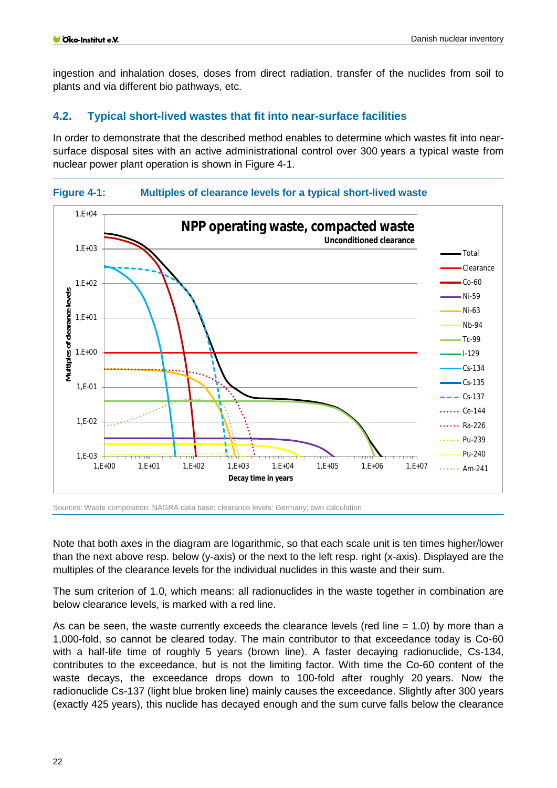ingestion and inhalation doses, doses from direct radiation, transfer of the nuclides from soil to plants and via different bio pathways, etc.

# <span id="page-21-0"></span>**4.2. Typical short-lived wastes that fit into near-surface facilities**

In order to demonstrate that the described method enables to determine which wastes fit into nearsurface disposal sites with an active administrational control over 300 years a typical waste from nuclear power plant operation is shown in [Figure 4-1.](#page-21-1)

<span id="page-21-1"></span>



Sources: Waste composition: NAGRA data base; clearance levels: Germany; own calculation

Note that both axes in the diagram are logarithmic, so that each scale unit is ten times higher/lower than the next above resp. below (y-axis) or the next to the left resp. right (x-axis). Displayed are the multiples of the clearance levels for the individual nuclides in this waste and their sum.

The sum criterion of 1.0, which means: all radionuclides in the waste together in combination are below clearance levels, is marked with a red line.

As can be seen, the waste currently exceeds the clearance levels (red line  $= 1.0$ ) by more than a 1,000-fold, so cannot be cleared today. The main contributor to that exceedance today is Co-60 with a half-life time of roughly 5 years (brown line). A faster decaying radionuclide, Cs-134, contributes to the exceedance, but is not the limiting factor. With time the Co-60 content of the waste decays, the exceedance drops down to 100-fold after roughly 20 years. Now the radionuclide Cs-137 (light blue broken line) mainly causes the exceedance. Slightly after 300 years (exactly 425 years), this nuclide has decayed enough and the sum curve falls below the clearance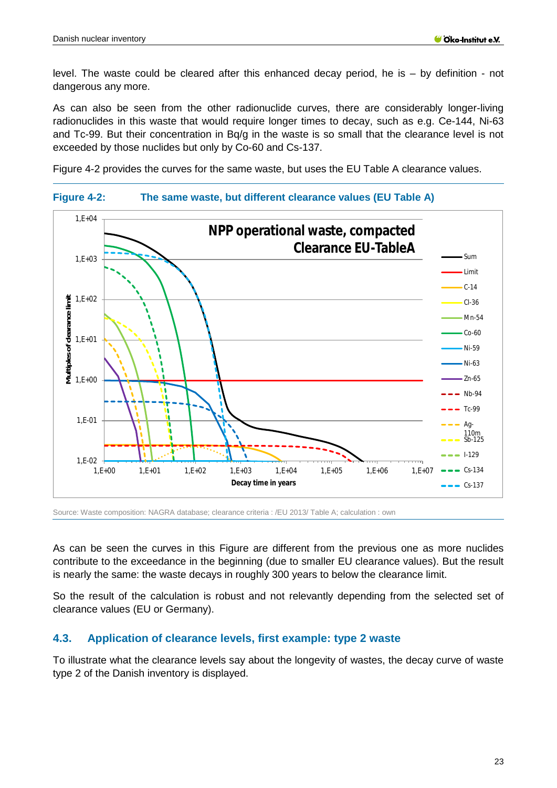level. The waste could be cleared after this enhanced decay period, he is – by definition - not dangerous any more.

As can also be seen from the other radionuclide curves, there are considerably longer-living radionuclides in this waste that would require longer times to decay, such as e.g. Ce-144, Ni-63 and Tc-99. But their concentration in Bq/g in the waste is so small that the clearance level is not exceeded by those nuclides but only by Co-60 and Cs-137.

[Figure 4-2](#page-22-1) provides the curves for the same waste, but uses the EU Table A clearance values.

<span id="page-22-1"></span>



Source: Waste composition: NAGRA database; clearance criteria : /EU 2013/ Table A; calculation : own

As can be seen the curves in this Figure are different from the previous one as more nuclides contribute to the exceedance in the beginning (due to smaller EU clearance values). But the result is nearly the same: the waste decays in roughly 300 years to below the clearance limit.

So the result of the calculation is robust and not relevantly depending from the selected set of clearance values (EU or Germany).

# <span id="page-22-0"></span>**4.3. Application of clearance levels, first example: type 2 waste**

To illustrate what the clearance levels say about the longevity of wastes, the decay curve of waste type 2 of the Danish inventory is displayed.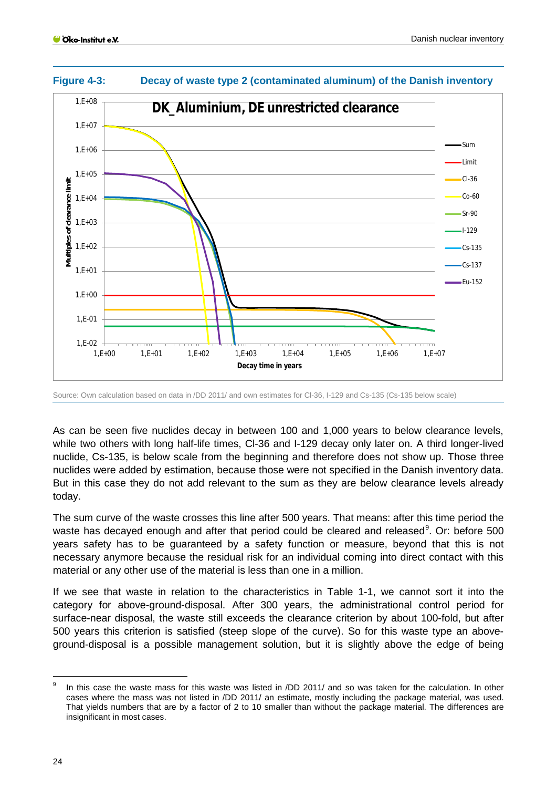

#### <span id="page-23-0"></span>**Figure 4-3: Decay of waste type 2 (contaminated aluminum) of the Danish inventory**

Source: Own calculation based on data in /DD 2011/ and own estimates for Cl-36, I-129 and Cs-135 (Cs-135 below scale)

As can be seen five nuclides decay in between 100 and 1,000 years to below clearance levels, while two others with long half-life times, Cl-36 and I-129 decay only later on. A third longer-lived nuclide, Cs-135, is below scale from the beginning and therefore does not show up. Those three nuclides were added by estimation, because those were not specified in the Danish inventory data. But in this case they do not add relevant to the sum as they are below clearance levels already today.

The sum curve of the waste crosses this line after 500 years. That means: after this time period the waste has decayed enough and after that period could be cleared and released<sup>[9](#page-23-1)</sup>. Or: before 500 years safety has to be guaranteed by a safety function or measure, beyond that this is not necessary anymore because the residual risk for an individual coming into direct contact with this material or any other use of the material is less than one in a million.

If we see that waste in relation to the characteristics in Table 1-1, we cannot sort it into the category for above-ground-disposal. After 300 years, the administrational control period for surface-near disposal, the waste still exceeds the clearance criterion by about 100-fold, but after 500 years this criterion is satisfied (steep slope of the curve). So for this waste type an aboveground-disposal is a possible management solution, but it is slightly above the edge of being

-

<span id="page-23-1"></span><sup>&</sup>lt;sup>9</sup> In this case the waste mass for this waste was listed in /DD 2011/ and so was taken for the calculation. In other cases where the mass was not listed in /DD 2011/ an estimate, mostly including the package material, was used. That yields numbers that are by a factor of 2 to 10 smaller than without the package material. The differences are insignificant in most cases.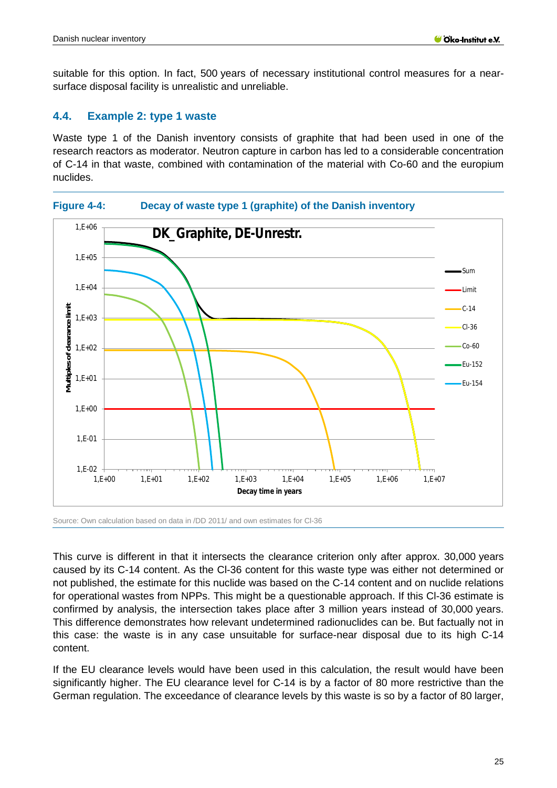suitable for this option. In fact, 500 years of necessary institutional control measures for a nearsurface disposal facility is unrealistic and unreliable.

#### <span id="page-24-0"></span>**4.4. Example 2: type 1 waste**

Waste type 1 of the Danish inventory consists of graphite that had been used in one of the research reactors as moderator. Neutron capture in carbon has led to a considerable concentration of C-14 in that waste, combined with contamination of the material with Co-60 and the europium nuclides.

#### <span id="page-24-1"></span>**Figure 4-4: Decay of waste type 1 (graphite) of the Danish inventory**



Source: Own calculation based on data in /DD 2011/ and own estimates for Cl-36

This curve is different in that it intersects the clearance criterion only after approx. 30,000 years caused by its C-14 content. As the Cl-36 content for this waste type was either not determined or not published, the estimate for this nuclide was based on the C-14 content and on nuclide relations for operational wastes from NPPs. This might be a questionable approach. If this Cl-36 estimate is confirmed by analysis, the intersection takes place after 3 million years instead of 30,000 years. This difference demonstrates how relevant undetermined radionuclides can be. But factually not in this case: the waste is in any case unsuitable for surface-near disposal due to its high C-14 content.

If the EU clearance levels would have been used in this calculation, the result would have been significantly higher. The EU clearance level for C-14 is by a factor of 80 more restrictive than the German regulation. The exceedance of clearance levels by this waste is so by a factor of 80 larger,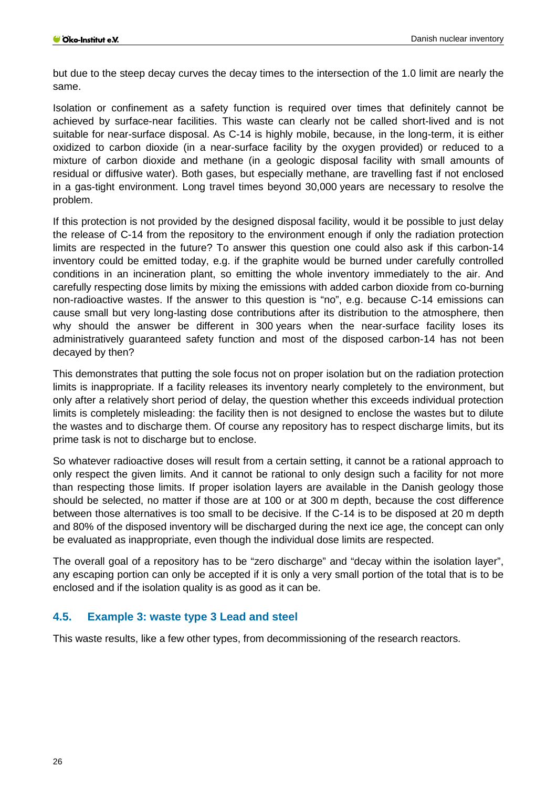but due to the steep decay curves the decay times to the intersection of the 1.0 limit are nearly the same.

Isolation or confinement as a safety function is required over times that definitely cannot be achieved by surface-near facilities. This waste can clearly not be called short-lived and is not suitable for near-surface disposal. As C-14 is highly mobile, because, in the long-term, it is either oxidized to carbon dioxide (in a near-surface facility by the oxygen provided) or reduced to a mixture of carbon dioxide and methane (in a geologic disposal facility with small amounts of residual or diffusive water). Both gases, but especially methane, are travelling fast if not enclosed in a gas-tight environment. Long travel times beyond 30,000 years are necessary to resolve the problem.

If this protection is not provided by the designed disposal facility, would it be possible to just delay the release of C-14 from the repository to the environment enough if only the radiation protection limits are respected in the future? To answer this question one could also ask if this carbon-14 inventory could be emitted today, e.g. if the graphite would be burned under carefully controlled conditions in an incineration plant, so emitting the whole inventory immediately to the air. And carefully respecting dose limits by mixing the emissions with added carbon dioxide from co-burning non-radioactive wastes. If the answer to this question is "no", e.g. because C-14 emissions can cause small but very long-lasting dose contributions after its distribution to the atmosphere, then why should the answer be different in 300 years when the near-surface facility loses its administratively guaranteed safety function and most of the disposed carbon-14 has not been decayed by then?

This demonstrates that putting the sole focus not on proper isolation but on the radiation protection limits is inappropriate. If a facility releases its inventory nearly completely to the environment, but only after a relatively short period of delay, the question whether this exceeds individual protection limits is completely misleading: the facility then is not designed to enclose the wastes but to dilute the wastes and to discharge them. Of course any repository has to respect discharge limits, but its prime task is not to discharge but to enclose.

So whatever radioactive doses will result from a certain setting, it cannot be a rational approach to only respect the given limits. And it cannot be rational to only design such a facility for not more than respecting those limits. If proper isolation layers are available in the Danish geology those should be selected, no matter if those are at 100 or at 300 m depth, because the cost difference between those alternatives is too small to be decisive. If the C-14 is to be disposed at 20 m depth and 80% of the disposed inventory will be discharged during the next ice age, the concept can only be evaluated as inappropriate, even though the individual dose limits are respected.

The overall goal of a repository has to be "zero discharge" and "decay within the isolation layer", any escaping portion can only be accepted if it is only a very small portion of the total that is to be enclosed and if the isolation quality is as good as it can be.

#### <span id="page-25-0"></span>**4.5. Example 3: waste type 3 Lead and steel**

This waste results, like a few other types, from decommissioning of the research reactors.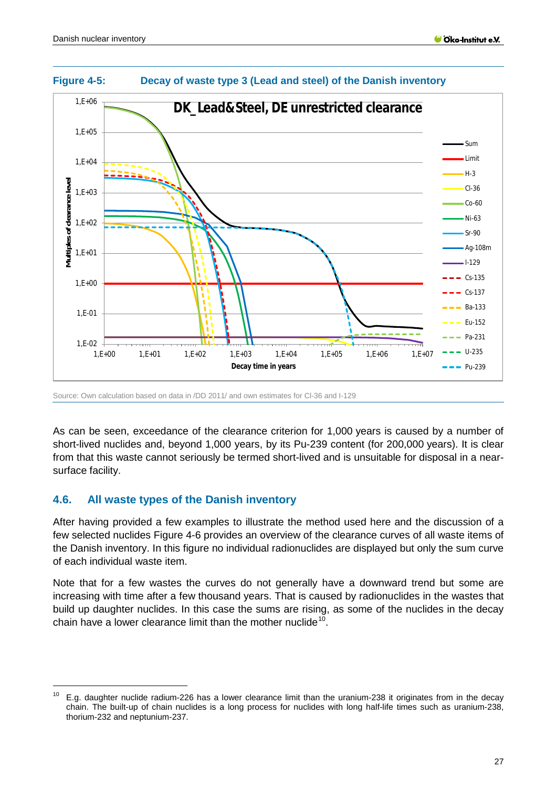

#### <span id="page-26-1"></span>**Figure 4-5: Decay of waste type 3 (Lead and steel) of the Danish inventory**

Source: Own calculation based on data in /DD 2011/ and own estimates for Cl-36 and I-129

As can be seen, exceedance of the clearance criterion for 1,000 years is caused by a number of short-lived nuclides and, beyond 1,000 years, by its Pu-239 content (for 200,000 years). It is clear from that this waste cannot seriously be termed short-lived and is unsuitable for disposal in a nearsurface facility.

# <span id="page-26-0"></span>**4.6. All waste types of the Danish inventory**

-

After having provided a few examples to illustrate the method used here and the discussion of a few selected nuclides [Figure 4-6](#page-27-0) provides an overview of the clearance curves of all waste items of the Danish inventory. In this figure no individual radionuclides are displayed but only the sum curve of each individual waste item.

Note that for a few wastes the curves do not generally have a downward trend but some are increasing with time after a few thousand years. That is caused by radionuclides in the wastes that build up daughter nuclides. In this case the sums are rising, as some of the nuclides in the decay chain have a lower clearance limit than the mother nuclide<sup>[10](#page-26-2)</sup>.

<span id="page-26-2"></span> $10$  E.g. daughter nuclide radium-226 has a lower clearance limit than the uranium-238 it originates from in the decay chain. The built-up of chain nuclides is a long process for nuclides with long half-life times such as uranium-238, thorium-232 and neptunium-237.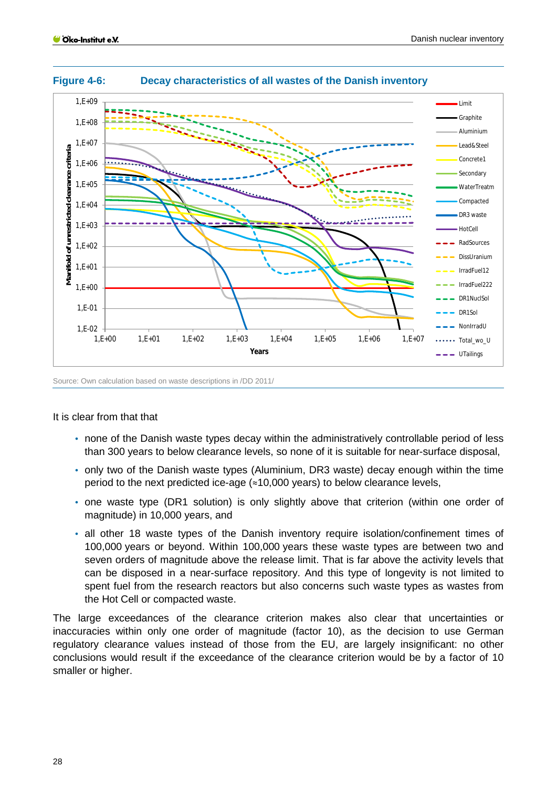Danish nuclear inventory



<span id="page-27-0"></span>**Figure 4-6: Decay characteristics of all wastes of the Danish inventory**

Source: Own calculation based on waste descriptions in /DD 2011/

#### It is clear from that that

- none of the Danish waste types decay within the administratively controllable period of less than 300 years to below clearance levels, so none of it is suitable for near-surface disposal,
- only two of the Danish waste types (Aluminium, DR3 waste) decay enough within the time period to the next predicted ice-age  $($  ≈10,000 years) to below clearance levels,
- one waste type (DR1 solution) is only slightly above that criterion (within one order of magnitude) in 10,000 years, and
- all other 18 waste types of the Danish inventory require isolation/confinement times of 100,000 years or beyond. Within 100,000 years these waste types are between two and seven orders of magnitude above the release limit. That is far above the activity levels that can be disposed in a near-surface repository. And this type of longevity is not limited to spent fuel from the research reactors but also concerns such waste types as wastes from the Hot Cell or compacted waste.

The large exceedances of the clearance criterion makes also clear that uncertainties or inaccuracies within only one order of magnitude (factor 10), as the decision to use German regulatory clearance values instead of those from the EU, are largely insignificant: no other conclusions would result if the exceedance of the clearance criterion would be by a factor of 10 smaller or higher.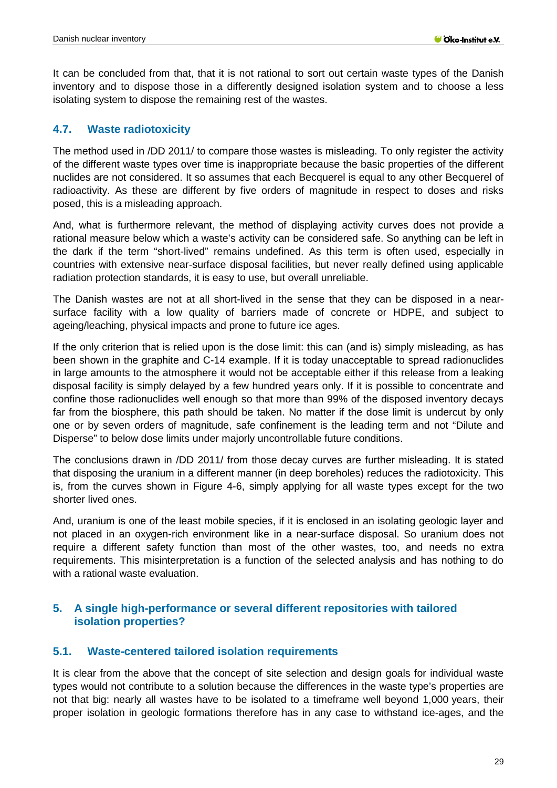It can be concluded from that, that it is not rational to sort out certain waste types of the Danish inventory and to dispose those in a differently designed isolation system and to choose a less isolating system to dispose the remaining rest of the wastes.

# <span id="page-28-0"></span>**4.7. Waste radiotoxicity**

The method used in /DD 2011/ to compare those wastes is misleading. To only register the activity of the different waste types over time is inappropriate because the basic properties of the different nuclides are not considered. It so assumes that each Becquerel is equal to any other Becquerel of radioactivity. As these are different by five orders of magnitude in respect to doses and risks posed, this is a misleading approach.

And, what is furthermore relevant, the method of displaying activity curves does not provide a rational measure below which a waste's activity can be considered safe. So anything can be left in the dark if the term "short-lived" remains undefined. As this term is often used, especially in countries with extensive near-surface disposal facilities, but never really defined using applicable radiation protection standards, it is easy to use, but overall unreliable.

The Danish wastes are not at all short-lived in the sense that they can be disposed in a nearsurface facility with a low quality of barriers made of concrete or HDPE, and subject to ageing/leaching, physical impacts and prone to future ice ages.

If the only criterion that is relied upon is the dose limit: this can (and is) simply misleading, as has been shown in the graphite and C-14 example. If it is today unacceptable to spread radionuclides in large amounts to the atmosphere it would not be acceptable either if this release from a leaking disposal facility is simply delayed by a few hundred years only. If it is possible to concentrate and confine those radionuclides well enough so that more than 99% of the disposed inventory decays far from the biosphere, this path should be taken. No matter if the dose limit is undercut by only one or by seven orders of magnitude, safe confinement is the leading term and not "Dilute and Disperse" to below dose limits under majorly uncontrollable future conditions.

The conclusions drawn in /DD 2011/ from those decay curves are further misleading. It is stated that disposing the uranium in a different manner (in deep boreholes) reduces the radiotoxicity. This is, from the curves shown in [Figure 4-6,](#page-27-0) simply applying for all waste types except for the two shorter lived ones.

And, uranium is one of the least mobile species, if it is enclosed in an isolating geologic layer and not placed in an oxygen-rich environment like in a near-surface disposal. So uranium does not require a different safety function than most of the other wastes, too, and needs no extra requirements. This misinterpretation is a function of the selected analysis and has nothing to do with a rational waste evaluation.

### <span id="page-28-1"></span>**5. A single high-performance or several different repositories with tailored isolation properties?**

# <span id="page-28-2"></span>**5.1. Waste-centered tailored isolation requirements**

It is clear from the above that the concept of site selection and design goals for individual waste types would not contribute to a solution because the differences in the waste type's properties are not that big: nearly all wastes have to be isolated to a timeframe well beyond 1,000 years, their proper isolation in geologic formations therefore has in any case to withstand ice-ages, and the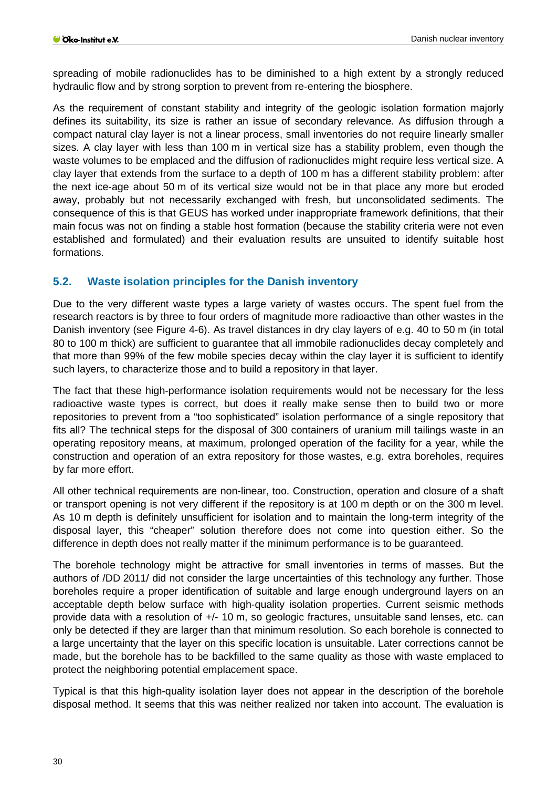spreading of mobile radionuclides has to be diminished to a high extent by a strongly reduced hydraulic flow and by strong sorption to prevent from re-entering the biosphere.

As the requirement of constant stability and integrity of the geologic isolation formation majorly defines its suitability, its size is rather an issue of secondary relevance. As diffusion through a compact natural clay layer is not a linear process, small inventories do not require linearly smaller sizes. A clay layer with less than 100 m in vertical size has a stability problem, even though the waste volumes to be emplaced and the diffusion of radionuclides might require less vertical size. A clay layer that extends from the surface to a depth of 100 m has a different stability problem: after the next ice-age about 50 m of its vertical size would not be in that place any more but eroded away, probably but not necessarily exchanged with fresh, but unconsolidated sediments. The consequence of this is that GEUS has worked under inappropriate framework definitions, that their main focus was not on finding a stable host formation (because the stability criteria were not even established and formulated) and their evaluation results are unsuited to identify suitable host formations.

# <span id="page-29-0"></span>**5.2. Waste isolation principles for the Danish inventory**

Due to the very different waste types a large variety of wastes occurs. The spent fuel from the research reactors is by three to four orders of magnitude more radioactive than other wastes in the Danish inventory (see [Figure 4-6\)](#page-27-0). As travel distances in dry clay layers of e.g. 40 to 50 m (in total 80 to 100 m thick) are sufficient to guarantee that all immobile radionuclides decay completely and that more than 99% of the few mobile species decay within the clay layer it is sufficient to identify such layers, to characterize those and to build a repository in that layer.

The fact that these high-performance isolation requirements would not be necessary for the less radioactive waste types is correct, but does it really make sense then to build two or more repositories to prevent from a "too sophisticated" isolation performance of a single repository that fits all? The technical steps for the disposal of 300 containers of uranium mill tailings waste in an operating repository means, at maximum, prolonged operation of the facility for a year, while the construction and operation of an extra repository for those wastes, e.g. extra boreholes, requires by far more effort.

All other technical requirements are non-linear, too. Construction, operation and closure of a shaft or transport opening is not very different if the repository is at 100 m depth or on the 300 m level. As 10 m depth is definitely unsufficient for isolation and to maintain the long-term integrity of the disposal layer, this "cheaper" solution therefore does not come into question either. So the difference in depth does not really matter if the minimum performance is to be guaranteed.

The borehole technology might be attractive for small inventories in terms of masses. But the authors of /DD 2011/ did not consider the large uncertainties of this technology any further. Those boreholes require a proper identification of suitable and large enough underground layers on an acceptable depth below surface with high-quality isolation properties. Current seismic methods provide data with a resolution of +/- 10 m, so geologic fractures, unsuitable sand lenses, etc. can only be detected if they are larger than that minimum resolution. So each borehole is connected to a large uncertainty that the layer on this specific location is unsuitable. Later corrections cannot be made, but the borehole has to be backfilled to the same quality as those with waste emplaced to protect the neighboring potential emplacement space.

Typical is that this high-quality isolation layer does not appear in the description of the borehole disposal method. It seems that this was neither realized nor taken into account. The evaluation is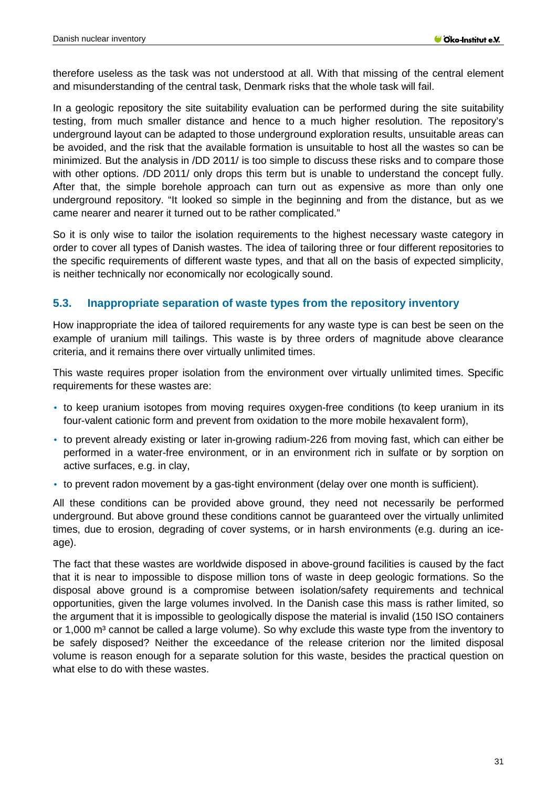therefore useless as the task was not understood at all. With that missing of the central element and misunderstanding of the central task, Denmark risks that the whole task will fail.

In a geologic repository the site suitability evaluation can be performed during the site suitability testing, from much smaller distance and hence to a much higher resolution. The repository's underground layout can be adapted to those underground exploration results, unsuitable areas can be avoided, and the risk that the available formation is unsuitable to host all the wastes so can be minimized. But the analysis in /DD 2011/ is too simple to discuss these risks and to compare those with other options. /DD 2011/ only drops this term but is unable to understand the concept fully. After that, the simple borehole approach can turn out as expensive as more than only one underground repository. "It looked so simple in the beginning and from the distance, but as we came nearer and nearer it turned out to be rather complicated."

So it is only wise to tailor the isolation requirements to the highest necessary waste category in order to cover all types of Danish wastes. The idea of tailoring three or four different repositories to the specific requirements of different waste types, and that all on the basis of expected simplicity, is neither technically nor economically nor ecologically sound.

# <span id="page-30-0"></span>**5.3. Inappropriate separation of waste types from the repository inventory**

How inappropriate the idea of tailored requirements for any waste type is can best be seen on the example of uranium mill tailings. This waste is by three orders of magnitude above clearance criteria, and it remains there over virtually unlimited times.

This waste requires proper isolation from the environment over virtually unlimited times. Specific requirements for these wastes are:

- to keep uranium isotopes from moving requires oxygen-free conditions (to keep uranium in its four-valent cationic form and prevent from oxidation to the more mobile hexavalent form),
- to prevent already existing or later in-growing radium-226 from moving fast, which can either be performed in a water-free environment, or in an environment rich in sulfate or by sorption on active surfaces, e.g. in clay,
- to prevent radon movement by a gas-tight environment (delay over one month is sufficient).

All these conditions can be provided above ground, they need not necessarily be performed underground. But above ground these conditions cannot be guaranteed over the virtually unlimited times, due to erosion, degrading of cover systems, or in harsh environments (e.g. during an iceage).

The fact that these wastes are worldwide disposed in above-ground facilities is caused by the fact that it is near to impossible to dispose million tons of waste in deep geologic formations. So the disposal above ground is a compromise between isolation/safety requirements and technical opportunities, given the large volumes involved. In the Danish case this mass is rather limited, so the argument that it is impossible to geologically dispose the material is invalid (150 ISO containers or 1,000 m<sup>3</sup> cannot be called a large volume). So why exclude this waste type from the inventory to be safely disposed? Neither the exceedance of the release criterion nor the limited disposal volume is reason enough for a separate solution for this waste, besides the practical question on what else to do with these wastes.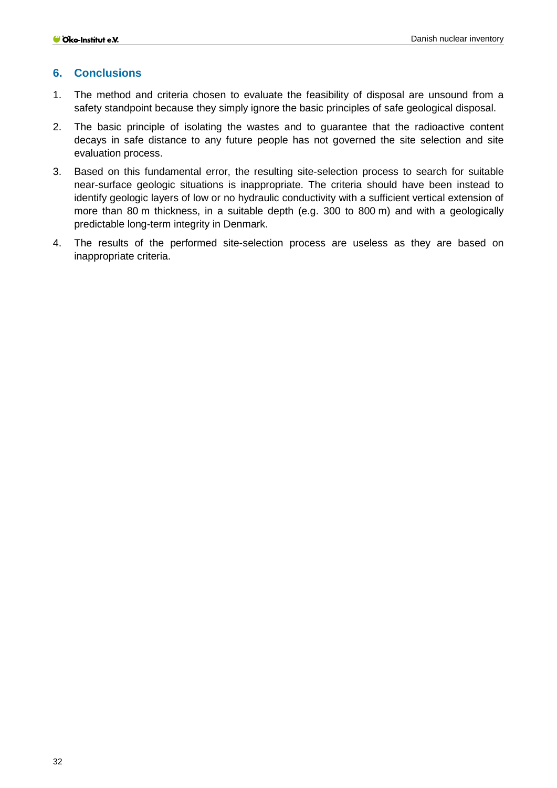#### <span id="page-31-0"></span>**6. Conclusions**

- 1. The method and criteria chosen to evaluate the feasibility of disposal are unsound from a safety standpoint because they simply ignore the basic principles of safe geological disposal.
- 2. The basic principle of isolating the wastes and to guarantee that the radioactive content decays in safe distance to any future people has not governed the site selection and site evaluation process.
- 3. Based on this fundamental error, the resulting site-selection process to search for suitable near-surface geologic situations is inappropriate. The criteria should have been instead to identify geologic layers of low or no hydraulic conductivity with a sufficient vertical extension of more than 80 m thickness, in a suitable depth (e.g. 300 to 800 m) and with a geologically predictable long-term integrity in Denmark.
- 4. The results of the performed site-selection process are useless as they are based on inappropriate criteria.